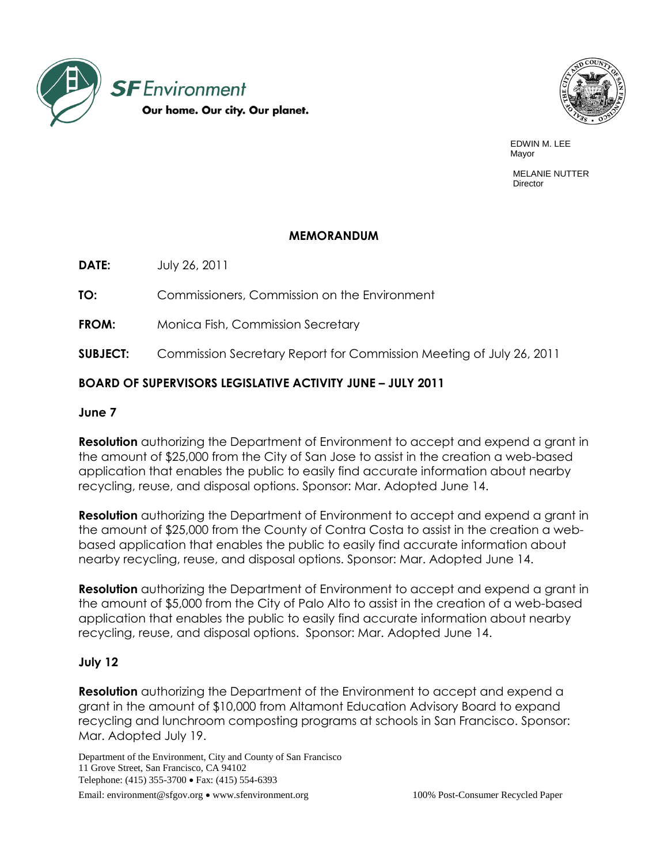



EDWIN M. LEE Mayor (1999) and the contract of the contract of the contract of the contract of the contract of the contract of the contract of the contract of the contract of the contract of the contract of the contract of the contract

> MELANIE NUTTER Director

#### **MEMORANDUM**

**DATE:** July 26, 2011

**TO:** Commissioners, Commission on the Environment

**FROM:** Monica Fish, Commission Secretary

**SUBJECT:** Commission Secretary Report for Commission Meeting of July 26, 2011

# **BOARD OF SUPERVISORS LEGISLATIVE ACTIVITY JUNE – JULY 2011**

## **June 7**

**Resolution** authorizing the Department of Environment to accept and expend a grant in the amount of \$25,000 from the City of San Jose to assist in the creation a web-based application that enables the public to easily find accurate information about nearby recycling, reuse, and disposal options. Sponsor: Mar. Adopted June 14.

**Resolution** authorizing the Department of Environment to accept and expend a grant in the amount of \$25,000 from the County of Contra Costa to assist in the creation a webbased application that enables the public to easily find accurate information about nearby recycling, reuse, and disposal options. Sponsor: Mar. Adopted June 14.

**Resolution** authorizing the Department of Environment to accept and expend a grant in the amount of \$5,000 from the City of Palo Alto to assist in the creation of a web-based application that enables the public to easily find accurate information about nearby recycling, reuse, and disposal options. Sponsor: Mar. Adopted June 14.

## **July 12**

**Resolution** authorizing the Department of the Environment to accept and expend a grant in the amount of \$10,000 from Altamont Education Advisory Board to expand recycling and lunchroom composting programs at schools in San Francisco. Sponsor: Mar. Adopted July 19.

Department of the Environment, City and County of San Francisco 11 Grove Street, San Francisco, CA 94102 Telephone: (415) 355-3700 • Fax: (415) 554-6393 Email: environment@sfgov.org • www.sfenvironment.org 100% Post-Consumer Recycled Paper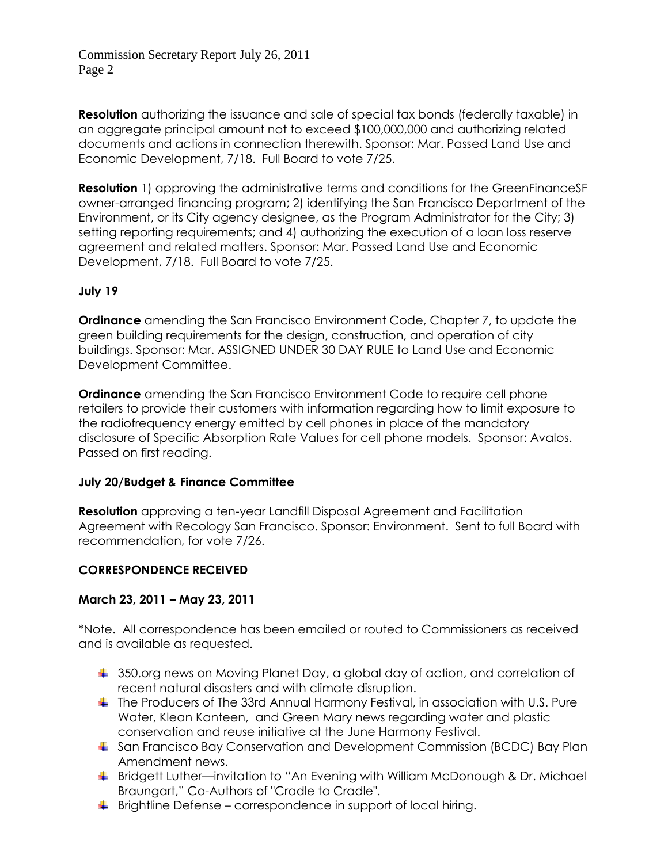Commission Secretary Report July 26, 2011 Page 2

**Resolution** authorizing the issuance and sale of special tax bonds (federally taxable) in an aggregate principal amount not to exceed \$100,000,000 and authorizing related documents and actions in connection therewith. Sponsor: Mar. Passed Land Use and Economic Development, 7/18. Full Board to vote 7/25.

**Resolution** 1) approving the administrative terms and conditions for the GreenFinanceSF owner-arranged financing program; 2) identifying the San Francisco Department of the Environment, or its City agency designee, as the Program Administrator for the City; 3) setting reporting requirements; and 4) authorizing the execution of a loan loss reserve agreement and related matters. Sponsor: Mar. Passed Land Use and Economic Development, 7/18. Full Board to vote 7/25.

## **July 19**

**Ordinance** amending the San Francisco Environment Code, Chapter 7, to update the green building requirements for the design, construction, and operation of city buildings. Sponsor: Mar. ASSIGNED UNDER 30 DAY RULE to Land Use and Economic Development Committee.

**Ordinance** amending the San Francisco Environment Code to require cell phone retailers to provide their customers with information regarding how to limit exposure to the radiofrequency energy emitted by cell phones in place of the mandatory disclosure of Specific Absorption Rate Values for cell phone models. Sponsor: Avalos. Passed on first reading.

#### **July 20/Budget & Finance Committee**

**Resolution** approving a ten-year Landfill Disposal Agreement and Facilitation Agreement with Recology San Francisco. Sponsor: Environment. Sent to full Board with recommendation, for vote 7/26.

#### **CORRESPONDENCE RECEIVED**

## **March 23, 2011 – May 23, 2011**

\*Note. All correspondence has been emailed or routed to Commissioners as received and is available as requested.

- 350.org news on Moving Planet Day, a global day of action, and correlation of recent natural disasters and with climate disruption.
- The Producers of The 33rd Annual Harmony Festival, in association with U.S. Pure Water, Klean Kanteen, and Green Mary news regarding water and plastic conservation and reuse initiative at the June Harmony Festival.
- San Francisco Bay Conservation and Development Commission (BCDC) Bay Plan Amendment news.
- **Bridgett Luther—invitation to "An Evening with William McDonough & Dr. Michael** Braungart,‖ Co-Authors of "Cradle to Cradle".
- $\ddot{\bullet}$  Brightline Defense correspondence in support of local hiring.